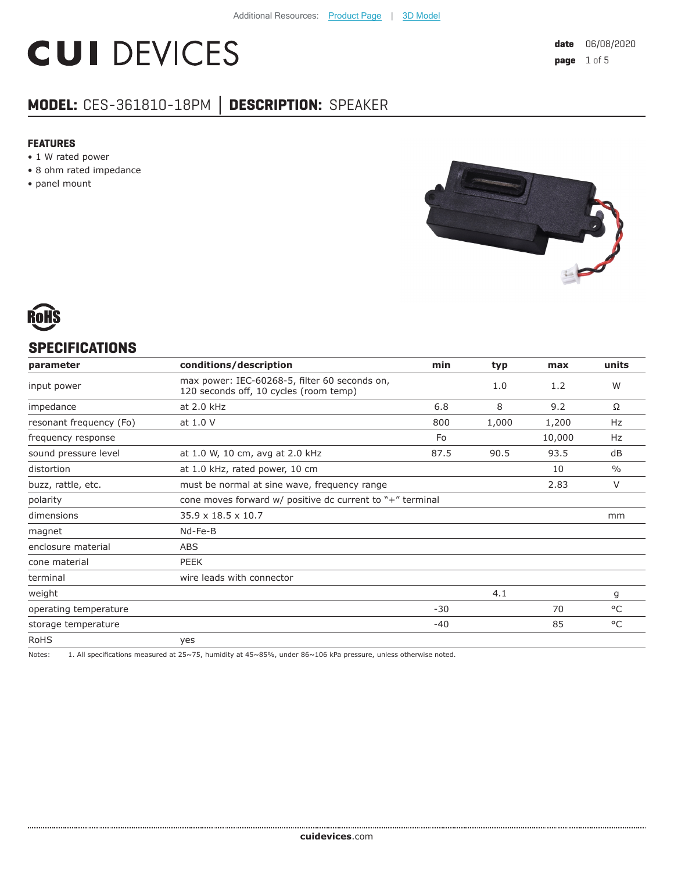# **CUI DEVICES**

# **MODEL:** CES-361810-18PM **│ DESCRIPTION:** SPEAKER

#### **FEATURES**

- 1 W rated power
- 8 ohm rated impedance
- panel mount





# **SPECIFICATIONS**

| parameter               | conditions/description                                                                  | min   | typ   | max    | units  |
|-------------------------|-----------------------------------------------------------------------------------------|-------|-------|--------|--------|
| input power             | max power: IEC-60268-5, filter 60 seconds on,<br>120 seconds off, 10 cycles (room temp) |       | 1.0   | 1.2    | W      |
| impedance               | at 2.0 kHz                                                                              | 6.8   | 8     | 9.2    | Ω      |
| resonant frequency (Fo) | at 1.0 V                                                                                | 800   | 1,000 | 1,200  | Hz     |
| frequency response      |                                                                                         | Fo    |       | 10,000 | Hz     |
| sound pressure level    | at 1.0 W, 10 cm, avg at 2.0 kHz                                                         | 87.5  | 90.5  | 93.5   | dB     |
| distortion              | at 1.0 kHz, rated power, 10 cm                                                          |       |       | 10     | $\%$   |
| buzz, rattle, etc.      | must be normal at sine wave, frequency range                                            |       |       | 2.83   | $\vee$ |
| polarity                | cone moves forward $w/$ positive dc current to "+" terminal                             |       |       |        |        |
| dimensions              | $35.9 \times 18.5 \times 10.7$                                                          |       |       |        | mm     |
| magnet                  | Nd-Fe-B                                                                                 |       |       |        |        |
| enclosure material      | <b>ABS</b>                                                                              |       |       |        |        |
| cone material           | <b>PEEK</b>                                                                             |       |       |        |        |
| terminal                | wire leads with connector                                                               |       |       |        |        |
| weight                  |                                                                                         |       | 4.1   |        | g      |
| operating temperature   |                                                                                         | $-30$ |       | 70     | °C     |
| storage temperature     |                                                                                         | -40   |       | 85     | °C     |
| <b>RoHS</b>             | yes                                                                                     |       |       |        |        |

Notes: 1. All specifications measured at 25~75, humidity at 45~85%, under 86~106 kPa pressure, unless otherwise noted.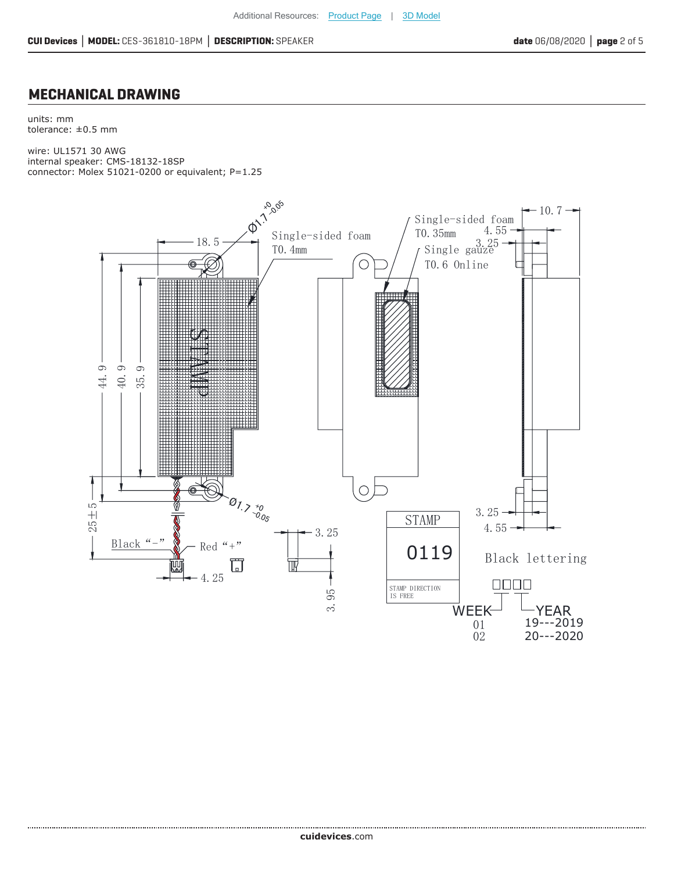#### **MECHANICAL DRAWING**

units: mm tolerance: ±0.5 mm

wire: UL1571 30 AWG internal speaker: CMS-18132-18SP connector: Molex 51021-0200 or equivalent; P=1.25

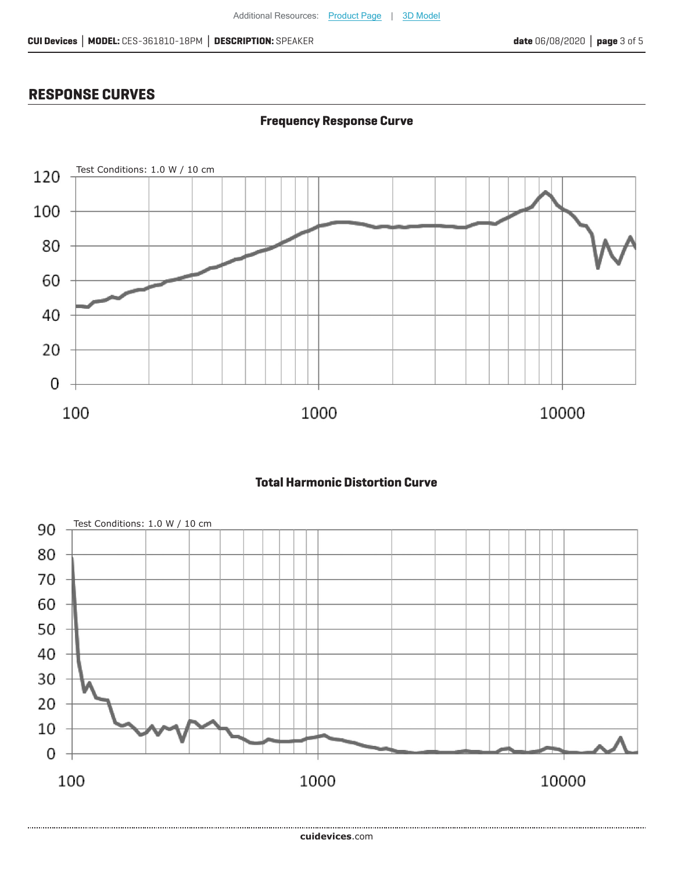**Frequency Response Curve**

# **RESPONSE CURVES**



## **Total Harmonic Distortion Curve**

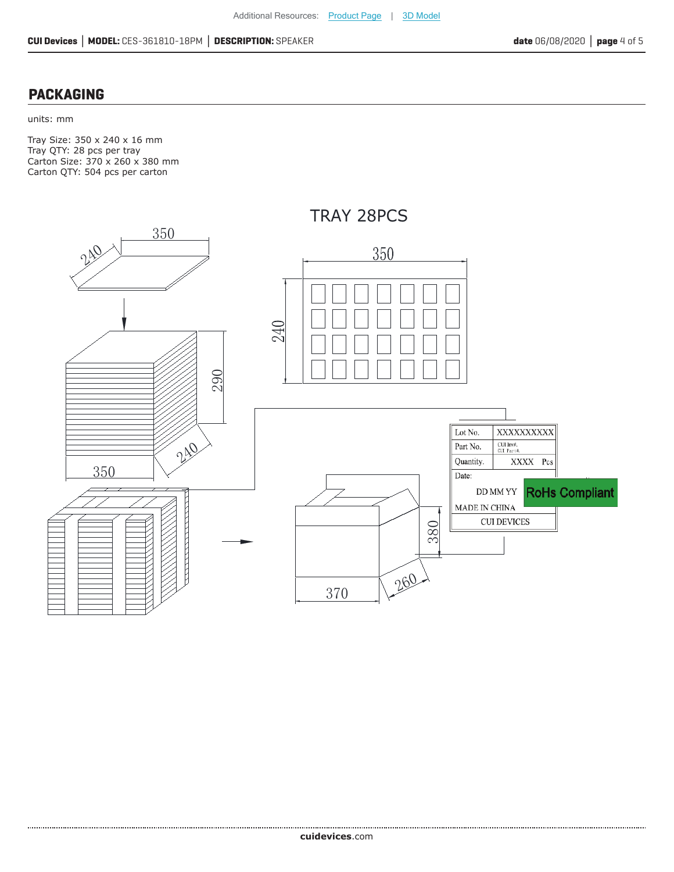## **PACKAGING**

units: mm

Tray Size: 350 x 240 x 16 mm Tray QTY: 28 pcs per tray Carton Size: 370 x 260 x 380 mm Carton QTY: 504 pcs per carton